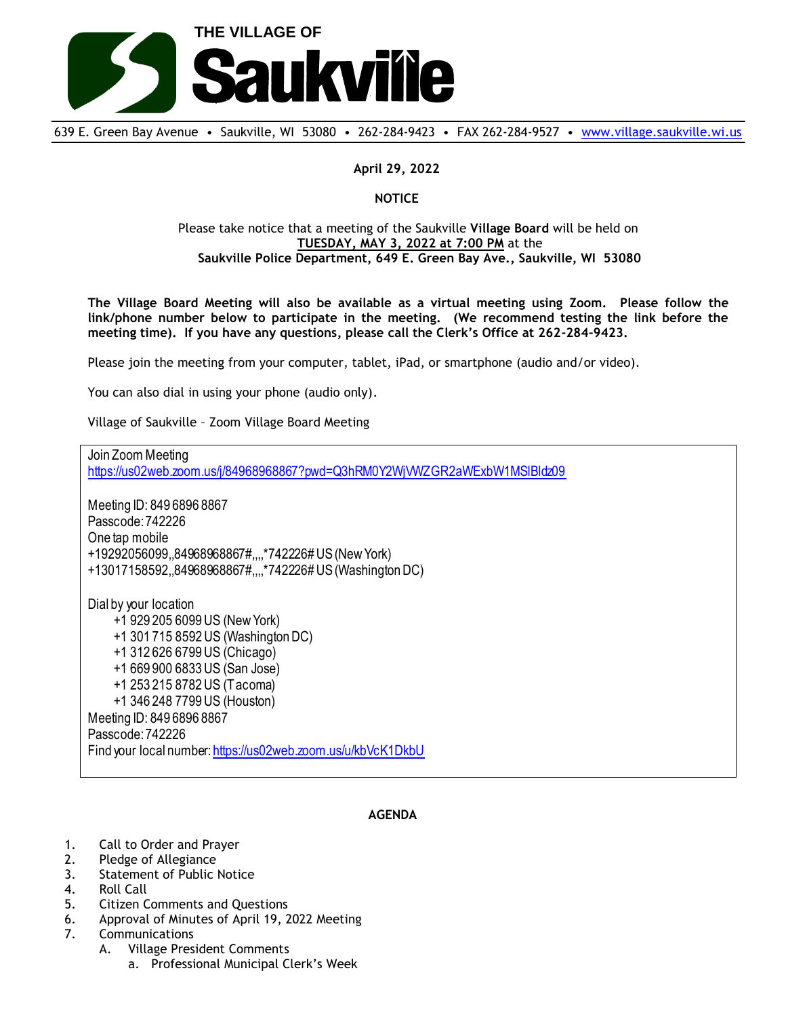

639 E. Green Bay Avenue • Saukville, WI 53080 • 262-284-9423 • FAX 262-284-9527 • [www.village.saukville.wi.us](http://www.village.saukville.wi.us/)

## **April 29, 2022**

## **NOTICE**

## Please take notice that a meeting of the Saukville **Village Board** will be held on **TUESDAY, MAY 3, 2022 at 7:00 PM** at the **Saukville Police Department, 649 E. Green Bay Ave., Saukville, WI 53080**

**The Village Board Meeting will also be available as a virtual meeting using Zoom. Please follow the link/phone number below to participate in the meeting. (We recommend testing the link before the meeting time). If you have any questions, please call the Clerk's Office at 262-284-9423.**

Please join the meeting from your computer, tablet, iPad, or smartphone (audio and/or video).

You can also dial in using your phone (audio only).

Village of Saukville – Zoom Village Board Meeting

Join Zoom Meeting https://us02web.zoom.us/j/84968968867?pwd=Q3hRM0Y2WjVWZGR2aWExbW1MSlBldz09 Meeting ID: 849 6896 8867 Passcode: 742226 One tap mobile +19292056099,,84968968867#,,,,\*742226# US (New York) +13017158592,,84968968867#,,,,\*742226# US (Washington DC) Dial by your location +1 929 205 6099 US (New York) +1 301 715 8592 US (Washington DC) +1 312 626 6799 US (Chicago) +1 669 900 6833 US (San Jose) +1 253 215 8782 US (Tacoma) +1 346 248 7799 US (Houston) Meeting ID: 849 6896 8867 Passcode: 742226 Find your local number: https://us02web.zoom.us/u/kbVcK1DkbU

## **AGENDA**

- 1. Call to Order and Prayer
- 2. Pledge of Allegiance
- 3. Statement of Public Notice
- 4. Roll Call
- 5. Citizen Comments and Questions
- 6. Approval of Minutes of April 19, 2022 Meeting
- 7. Communications
	- A. Village President Comments
		- a. Professional Municipal Clerk's Week